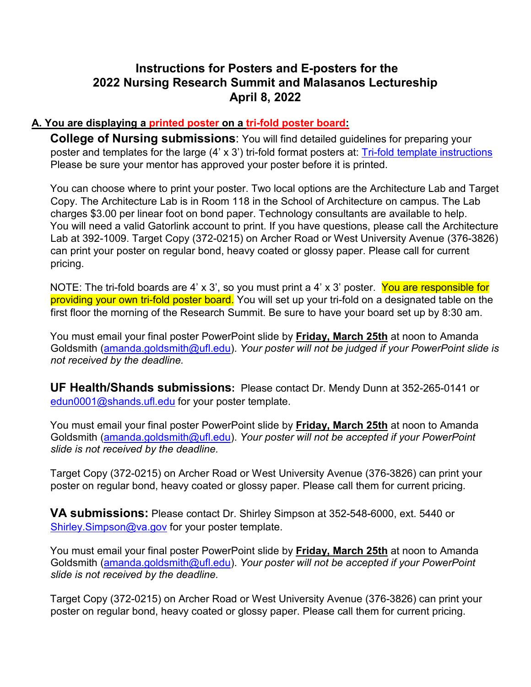## **Instructions for Posters and E-posters for the 2022 Nursing Research Summit and Malasanos Lectureship April 8, 2022**

## **A. You are displaying a printed poster on a tri-fold poster board:**

**College of Nursing submissions**: You will find detailed guidelines for preparing your poster and templates for the large (4' x 3') tri-fold format posters at: [Tri-fold template instructions](file://ad.ufl.edu/Health/NUR/share/ORS/Research%20Summit/RESEARCH%20SUMMIT%202018%20to%202021/NURSING%20RESEARCH%20SUMMIT%202019/Posters/Trifold%20Poster%20Template.ppt) Please be sure your mentor has approved your poster before it is printed.

You can choose where to print your poster. Two local options are the Architecture Lab and Target Copy. The Architecture Lab is in Room 118 in the School of Architecture on campus. The Lab charges \$3.00 per linear foot on bond paper. Technology consultants are available to help. You will need a valid Gatorlink account to print. If you have questions, please call the Architecture Lab at 392-1009. Target Copy (372-0215) on Archer Road or West University Avenue (376-3826) can print your poster on regular bond, heavy coated or glossy paper. Please call for current pricing.

NOTE: The tri-fold boards are 4' x 3', so you must print a 4' x 3' poster. You are responsible for providing your own tri-fold poster board. You will set up your tri-fold on a designated table on the first floor the morning of the Research Summit. Be sure to have your board set up by 8:30 am.

You must email your final poster PowerPoint slide by **Friday, March 25th** at noon to Amanda Goldsmith (amanda.goldsmith@ufl.edu). *Your poster will not be judged if your PowerPoint slide is not received by the deadline.* 

**UF Health/Shands submissions:** Please contact Dr. Mendy Dunn at 352-265-0141 or edun0001@shands.ufl.edu for your poster template.

You must email your final poster PowerPoint slide by **Friday, March 25th** at noon to Amanda Goldsmith (amanda.goldsmith@ufl.edu). *Your poster will not be accepted if your PowerPoint slide is not received by the deadline.* 

Target Copy (372-0215) on Archer Road or West University Avenue (376-3826) can print your poster on regular bond, heavy coated or glossy paper. Please call them for current pricing.

**VA submissions:** Please contact Dr. Shirley Simpson at 352-548-6000, ext. 5440 or Shirley.Simpson@va.gov for your poster template.

You must email your final poster PowerPoint slide by **Friday, March 25th** at noon to Amanda Goldsmith (amanda.goldsmith@ufl.edu). *Your poster will not be accepted if your PowerPoint slide is not received by the deadline.* 

Target Copy (372-0215) on Archer Road or West University Avenue (376-3826) can print your poster on regular bond, heavy coated or glossy paper. Please call them for current pricing.